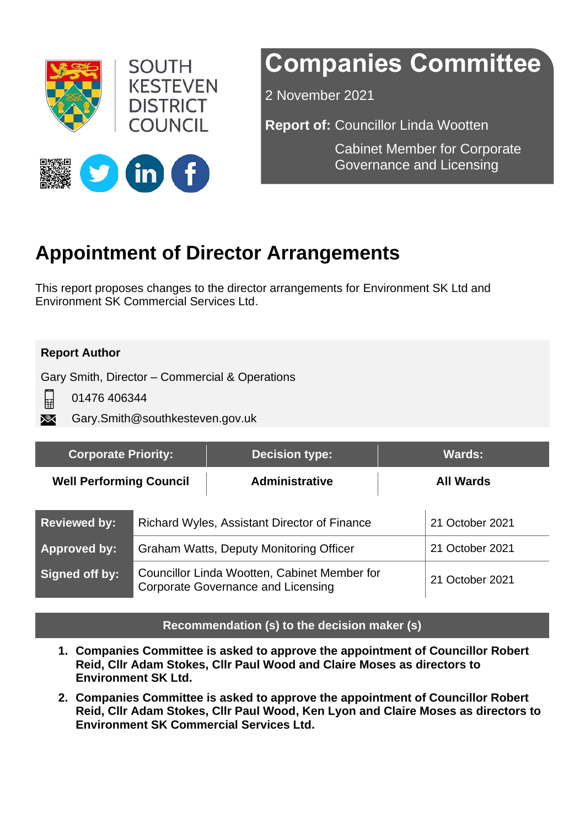

# **Companies Committee**

2 November 2021

**Report of:** Councillor Linda Wootten

Cabinet Member for Corporate Governance and Licensing



# **Appointment of Director Arrangements**

This report proposes changes to the director arrangements for Environment SK Ltd and Environment SK Commercial Services Ltd.

#### **Report Author**

Gary Smith, Director – Commercial & Operations

日 01476 406344

Gary.Smith@southkesteven.gov.uk XX

| <b>Corporate Priority:</b>     |                                                                                           | <b>Decision type:</b> | <b>Wards:</b>    |                 |
|--------------------------------|-------------------------------------------------------------------------------------------|-----------------------|------------------|-----------------|
| <b>Well Performing Council</b> |                                                                                           | <b>Administrative</b> | <b>All Wards</b> |                 |
| <b>Reviewed by:</b>            | Richard Wyles, Assistant Director of Finance                                              |                       |                  | 21 October 2021 |
| <b>Approved by:</b>            | Graham Watts, Deputy Monitoring Officer                                                   |                       |                  | 21 October 2021 |
| Signed off by:                 | Councillor Linda Wootten, Cabinet Member for<br><b>Corporate Governance and Licensing</b> |                       |                  | 21 October 2021 |

#### **Recommendation (s) to the decision maker (s)**

- **1. Companies Committee is asked to approve the appointment of Councillor Robert Reid, Cllr Adam Stokes, Cllr Paul Wood and Claire Moses as directors to Environment SK Ltd.**
- **2. Companies Committee is asked to approve the appointment of Councillor Robert Reid, Cllr Adam Stokes, Cllr Paul Wood, Ken Lyon and Claire Moses as directors to Environment SK Commercial Services Ltd.**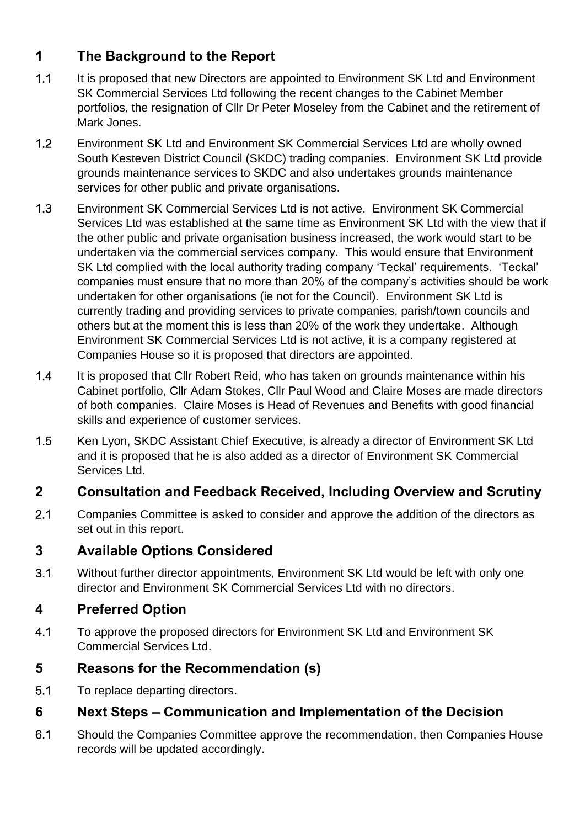# **1 The Background to the Report**

- 1.1 It is proposed that new Directors are appointed to Environment SK Ltd and Environment SK Commercial Services Ltd following the recent changes to the Cabinet Member portfolios, the resignation of Cllr Dr Peter Moseley from the Cabinet and the retirement of Mark Jones.
- 1.2 Environment SK Ltd and Environment SK Commercial Services Ltd are wholly owned South Kesteven District Council (SKDC) trading companies. Environment SK Ltd provide grounds maintenance services to SKDC and also undertakes grounds maintenance services for other public and private organisations.
- 1.3 Environment SK Commercial Services Ltd is not active. Environment SK Commercial Services Ltd was established at the same time as Environment SK Ltd with the view that if the other public and private organisation business increased, the work would start to be undertaken via the commercial services company. This would ensure that Environment SK Ltd complied with the local authority trading company 'Teckal' requirements. 'Teckal' companies must ensure that no more than 20% of the company's activities should be work undertaken for other organisations (ie not for the Council). Environment SK Ltd is currently trading and providing services to private companies, parish/town councils and others but at the moment this is less than 20% of the work they undertake. Although Environment SK Commercial Services Ltd is not active, it is a company registered at Companies House so it is proposed that directors are appointed.
- 1.4 It is proposed that Cllr Robert Reid, who has taken on grounds maintenance within his Cabinet portfolio, Cllr Adam Stokes, Cllr Paul Wood and Claire Moses are made directors of both companies. Claire Moses is Head of Revenues and Benefits with good financial skills and experience of customer services.
- 1.5 Ken Lyon, SKDC Assistant Chief Executive, is already a director of Environment SK Ltd and it is proposed that he is also added as a director of Environment SK Commercial Services Ltd.

# **2 Consultation and Feedback Received, Including Overview and Scrutiny**

2.1 Companies Committee is asked to consider and approve the addition of the directors as set out in this report.

# **3 Available Options Considered**

3.1 Without further director appointments, Environment SK Ltd would be left with only one director and Environment SK Commercial Services Ltd with no directors.

# **4 Preferred Option**

4.1 To approve the proposed directors for Environment SK Ltd and Environment SK Commercial Services Ltd.

# **5 Reasons for the Recommendation (s)**

5.1 To replace departing directors.

# **6 Next Steps – Communication and Implementation of the Decision**

6.1 Should the Companies Committee approve the recommendation, then Companies House records will be updated accordingly.